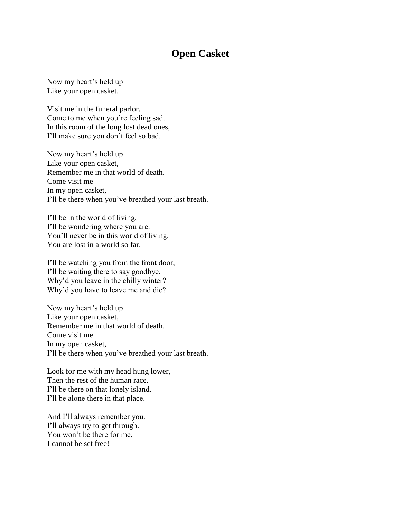## **Open Casket**

Now my heart's held up Like your open casket.

Visit me in the funeral parlor. Come to me when you're feeling sad. In this room of the long lost dead ones, I'll make sure you don't feel so bad.

Now my heart's held up Like your open casket, Remember me in that world of death. Come visit me In my open casket, I'll be there when you've breathed your last breath.

I'll be in the world of living, I'll be wondering where you are. You'll never be in this world of living. You are lost in a world so far.

I'll be watching you from the front door, I'll be waiting there to say goodbye. Why'd you leave in the chilly winter? Why'd you have to leave me and die?

Now my heart's held up Like your open casket, Remember me in that world of death. Come visit me In my open casket, I'll be there when you've breathed your last breath.

Look for me with my head hung lower, Then the rest of the human race. I'll be there on that lonely island. I'll be alone there in that place.

And I'll always remember you. I'll always try to get through. You won't be there for me, I cannot be set free!